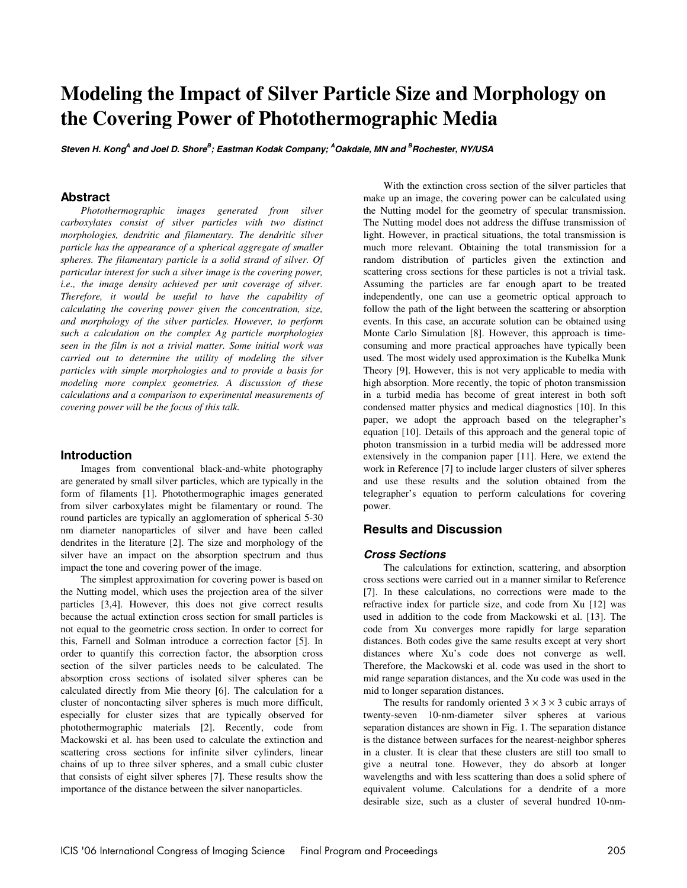# **Modeling the Impact of Silver Particle Size and Morphology on the Covering Power of Photothermographic Media**

**Steven H. Kong<sup>A</sup> and Joel D. Shore<sup>B</sup> ; Eastman Kodak Company; <sup>A</sup>Oakdale, MN and <sup>B</sup> Rochester, NY/USA** 

## **Abstract**

*Photothermographic images generated from silver carboxylates consist of silver particles with two distinct morphologies, dendritic and filamentary. The dendritic silver particle has the appearance of a spherical aggregate of smaller spheres. The filamentary particle is a solid strand of silver. Of particular interest for such a silver image is the covering power, i.e., the image density achieved per unit coverage of silver. Therefore, it would be useful to have the capability of calculating the covering power given the concentration, size, and morphology of the silver particles. However, to perform such a calculation on the complex Ag particle morphologies seen in the film is not a trivial matter. Some initial work was carried out to determine the utility of modeling the silver particles with simple morphologies and to provide a basis for modeling more complex geometries. A discussion of these calculations and a comparison to experimental measurements of covering power will be the focus of this talk.* 

### **Introduction**

Images from conventional black-and-white photography are generated by small silver particles, which are typically in the form of filaments [1]. Photothermographic images generated from silver carboxylates might be filamentary or round. The round particles are typically an agglomeration of spherical 5-30 nm diameter nanoparticles of silver and have been called dendrites in the literature [2]. The size and morphology of the silver have an impact on the absorption spectrum and thus impact the tone and covering power of the image.

The simplest approximation for covering power is based on the Nutting model, which uses the projection area of the silver particles [3,4]. However, this does not give correct results because the actual extinction cross section for small particles is not equal to the geometric cross section. In order to correct for this, Farnell and Solman introduce a correction factor [5]. In order to quantify this correction factor, the absorption cross section of the silver particles needs to be calculated. The absorption cross sections of isolated silver spheres can be calculated directly from Mie theory [6]. The calculation for a cluster of noncontacting silver spheres is much more difficult, especially for cluster sizes that are typically observed for photothermographic materials [2]. Recently, code from Mackowski et al. has been used to calculate the extinction and scattering cross sections for infinite silver cylinders, linear chains of up to three silver spheres, and a small cubic cluster that consists of eight silver spheres [7]. These results show the importance of the distance between the silver nanoparticles.

With the extinction cross section of the silver particles that make up an image, the covering power can be calculated using the Nutting model for the geometry of specular transmission. The Nutting model does not address the diffuse transmission of light. However, in practical situations, the total transmission is much more relevant. Obtaining the total transmission for a random distribution of particles given the extinction and scattering cross sections for these particles is not a trivial task. Assuming the particles are far enough apart to be treated independently, one can use a geometric optical approach to follow the path of the light between the scattering or absorption events. In this case, an accurate solution can be obtained using Monte Carlo Simulation [8]. However, this approach is timeconsuming and more practical approaches have typically been used. The most widely used approximation is the Kubelka Munk Theory [9]. However, this is not very applicable to media with high absorption. More recently, the topic of photon transmission in a turbid media has become of great interest in both soft condensed matter physics and medical diagnostics [10]. In this paper, we adopt the approach based on the telegrapher's equation [10]. Details of this approach and the general topic of photon transmission in a turbid media will be addressed more extensively in the companion paper [11]. Here, we extend the work in Reference [7] to include larger clusters of silver spheres and use these results and the solution obtained from the telegrapher's equation to perform calculations for covering power.

# **Results and Discussion**

#### **Cross Sections**

The calculations for extinction, scattering, and absorption cross sections were carried out in a manner similar to Reference [7]. In these calculations, no corrections were made to the refractive index for particle size, and code from Xu [12] was used in addition to the code from Mackowski et al. [13]. The code from Xu converges more rapidly for large separation distances. Both codes give the same results except at very short distances where Xu's code does not converge as well. Therefore, the Mackowski et al. code was used in the short to mid range separation distances, and the Xu code was used in the mid to longer separation distances.

The results for randomly oriented  $3 \times 3 \times 3$  cubic arrays of twenty-seven 10-nm-diameter silver spheres at various separation distances are shown in Fig. 1. The separation distance is the distance between surfaces for the nearest-neighbor spheres in a cluster. It is clear that these clusters are still too small to give a neutral tone. However, they do absorb at longer wavelengths and with less scattering than does a solid sphere of equivalent volume. Calculations for a dendrite of a more desirable size, such as a cluster of several hundred 10-nm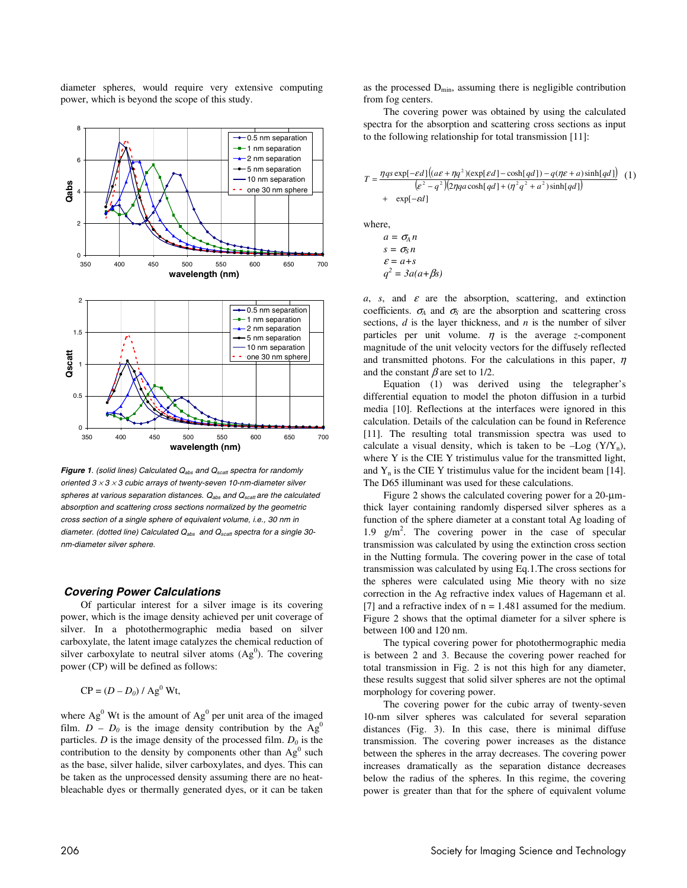diameter spheres, would require very extensive computing power, which is beyond the scope of this study.



**Figure 1.** (solid lines) Calculated  $Q_{abs}$  and  $Q_{scatt}$  spectra for randomly oriented  $3 \times 3 \times 3$  cubic arrays of twenty-seven 10-nm-diameter silver spheres at various separation distances.  $Q_{\text{abs}}$  and  $Q_{\text{scatt}}$  are the calculated absorption and scattering cross sections normalized by the geometric cross section of a single sphere of equivalent volume, i.e., 30 nm in diameter. (dotted line) Calculated  $Q_{\text{abs}}$  and  $Q_{\text{scatt}}$  spectra for a single 30nm-diameter silver sphere.

#### **Covering Power Calculations**

Of particular interest for a silver image is its covering power, which is the image density achieved per unit coverage of silver. In a photothermographic media based on silver carboxylate, the latent image catalyzes the chemical reduction of silver carboxylate to neutral silver atoms  $(Ag^0)$ . The covering power (CP) will be defined as follows:

$$
CP = (D - D_0) / Ag^0 Wt,
$$

where  $Ag^0$  Wt is the amount of  $Ag^0$  per unit area of the imaged film.  $D - D_0$  is the image density contribution by the Ag<sup>0</sup> particles.  $D$  is the image density of the processed film.  $D_0$  is the contribution to the density by components other than  $Ag^0$  such as the base, silver halide, silver carboxylates, and dyes. This can be taken as the unprocessed density assuming there are no heatbleachable dyes or thermally generated dyes, or it can be taken

as the processed  $D_{\text{min}}$ , assuming there is negligible contribution from fog centers.

The covering power was obtained by using the calculated spectra for the absorption and scattering cross sections as input to the following relationship for total transmission [11]:

$$
T = \frac{\eta q s \exp[-\varepsilon d] \left( (a\varepsilon + \eta q^2)(\exp[\varepsilon d] - \cosh[qd]) - q(\eta \varepsilon + a)\sinh[qd]\right)}{(\varepsilon^2 - q^2)(2\eta q a \cosh[qd] + (\eta^2 q^2 + a^2)\sinh[qd])}
$$
 (1)  
+  $\exp[-\varepsilon d]$ 

where,

$$
a = \sigma_A n
$$
  
s =  $\sigma_S n$   

$$
\varepsilon = a + s
$$
  

$$
q^2 = 3a(a + \beta s)
$$

 $a, s,$  and  $\varepsilon$  are the absorption, scattering, and extinction coefficients.  $\sigma_A$  and  $\sigma_S$  are the absorption and scattering cross sections, *d* is the layer thickness, and *n* is the number of silver particles per unit volume.  $\eta$  is the average *z*-component magnitude of the unit velocity vectors for the diffusely reflected and transmitted photons. For the calculations in this paper,  $\eta$ and the constant  $\beta$  are set to 1/2.

Equation (1) was derived using the telegrapher's differential equation to model the photon diffusion in a turbid media [10]. Reflections at the interfaces were ignored in this calculation. Details of the calculation can be found in Reference [11]. The resulting total transmission spectra was used to calculate a visual density, which is taken to be  $-Log (Y/Y_n)$ , where Y is the CIE Y tristimulus value for the transmitted light, and  $Y_n$  is the CIE Y tristimulus value for the incident beam [14]. The D65 illuminant was used for these calculations.

Figure 2 shows the calculated covering power for a 20-µmthick layer containing randomly dispersed silver spheres as a function of the sphere diameter at a constant total Ag loading of 1.9  $g/m^2$ . The covering power in the case of specular transmission was calculated by using the extinction cross section in the Nutting formula. The covering power in the case of total transmission was calculated by using Eq.1.The cross sections for the spheres were calculated using Mie theory with no size correction in the Ag refractive index values of Hagemann et al. [7] and a refractive index of  $n = 1.481$  assumed for the medium. Figure 2 shows that the optimal diameter for a silver sphere is between 100 and 120 nm.

The typical covering power for photothermographic media is between 2 and 3. Because the covering power reached for total transmission in Fig. 2 is not this high for any diameter, these results suggest that solid silver spheres are not the optimal morphology for covering power.

The covering power for the cubic array of twenty-seven 10-nm silver spheres was calculated for several separation distances (Fig. 3). In this case, there is minimal diffuse transmission. The covering power increases as the distance between the spheres in the array decreases. The covering power increases dramatically as the separation distance decreases below the radius of the spheres. In this regime, the covering power is greater than that for the sphere of equivalent volume